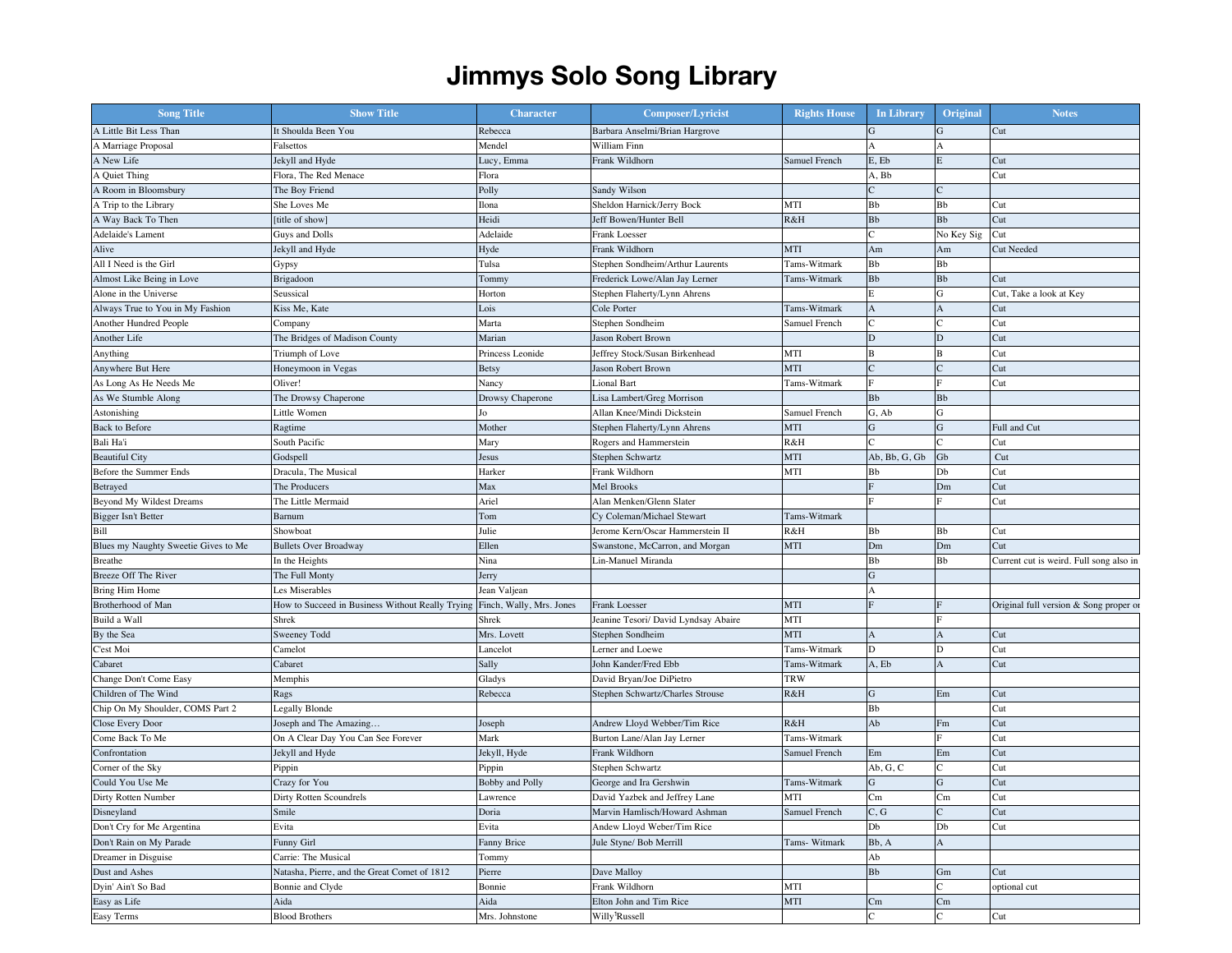## **Jimmys Solo Song Library**

| <b>Song Title</b>                    | <b>Show Title</b>                                                         | <b>Character</b> | <b>Composer/Lyricist</b>             | <b>Rights House</b> | In Library            | Original         | <b>Notes</b>                            |
|--------------------------------------|---------------------------------------------------------------------------|------------------|--------------------------------------|---------------------|-----------------------|------------------|-----------------------------------------|
| A Little Bit Less Than               | It Shoulda Been You                                                       | Rebecca          | Barbara Anselmi/Brian Hargrove       |                     | $\mathbf G$           | G                | Cut                                     |
| A Marriage Proposal                  | Falsettos                                                                 | Mendel           | William Finn                         |                     | A                     |                  |                                         |
| A New Life                           | Jekyll and Hyde                                                           | Lucy, Emma       | Frank Wildhorn                       | Samuel French       | E, Eb                 | E                | Cut                                     |
| A Quiet Thing                        | Flora, The Red Menace                                                     | Flora            |                                      |                     | A, Bb                 |                  | Cut                                     |
| A Room in Bloomsbury                 | The Boy Friend                                                            | Polly            | Sandy Wilson                         |                     | $\mathcal{C}$         |                  |                                         |
| A Trip to the Library                | She Loves Me                                                              | Ilona            | Sheldon Harnick/Jerry Bock           | MTI                 | Bb                    | Bb               | Cut                                     |
| A Way Back To Then                   | [title of show]                                                           | Heidi            | Jeff Bowen/Hunter Bell               | R&H                 | Bb                    | ${\bf B}{\bf b}$ | Cut                                     |
| Adelaide's Lament                    | Guys and Dolls                                                            | Adelaide         | Frank Loesser                        |                     | $\mathcal{C}$         | No Key Sig       | Cut                                     |
| Alive                                | Jekyll and Hyde                                                           | Hyde             | Frank Wildhorn                       | MTI                 | Am                    | Am               | Cut Needed                              |
| All I Need is the Girl               | Gypsy                                                                     | Tulsa            | Stephen Sondheim/Arthur Laurents     | Tams-Witmark        | Bb                    | Bb               |                                         |
| Almost Like Being in Love            | Brigadoon                                                                 | Tommy            | Frederick Lowe/Alan Jay Lerner       | Tams-Witmark        | Bb                    | Bb               | Cut                                     |
| Alone in the Universe                | Seussical                                                                 | Horton           | Stephen Flaherty/Lynn Ahrens         |                     | E                     | G                | Cut, Take a look at Key                 |
| Always True to You in My Fashion     | Kiss Me, Kate                                                             | Lois             | Cole Porter                          | Tams-Witmark        | $\boldsymbol{\rm{A}}$ | A                | Cut                                     |
| Another Hundred People               | Company                                                                   | Marta            | Stephen Sondheim                     | Samuel French       | $\epsilon$            |                  | Cut                                     |
| Another Life                         | The Bridges of Madison County                                             | Marian           | Jason Robert Brown                   |                     | $\mathbf D$           | D                | Cut                                     |
| Anything                             | Triumph of Love                                                           | Princess Leonide | Jeffrey Stock/Susan Birkenhead       | MTI                 | $\overline{B}$        | R                | Cut                                     |
| Anywhere But Here                    | Honeymoon in Vegas                                                        | <b>Betsy</b>     | Jason Robert Brown                   | MTI                 | $\mathcal{C}$         |                  | Cut                                     |
| As Long As He Needs Me               | Oliver!                                                                   | Nancy            | Lional Bart                          | Tams-Witmark        |                       |                  | Cut                                     |
| As We Stumble Along                  | The Drowsy Chaperone                                                      | Drowsy Chaperone | Lisa Lambert/Greg Morrison           |                     | Bb                    | Bb               |                                         |
| Astonishing                          | Little Women                                                              | Jo               | Allan Knee/Mindi Dickstein           | Samuel French       | G, Ab                 | G                |                                         |
| <b>Back to Before</b>                | Ragtime                                                                   | Mother           | Stephen Flaherty/Lynn Ahrens         | MTI                 | ${\bf G}$             | G                | Full and Cut                            |
| Bali Ha'i                            | South Pacific                                                             | Mary             | Rogers and Hammerstein               | R&H                 |                       |                  | Cut                                     |
|                                      |                                                                           |                  |                                      |                     | Ab, Bb, G, Gb         |                  |                                         |
| <b>Beautiful City</b>                | Godspell                                                                  | Jesus            | Stephen Schwartz                     | MTI                 |                       | Gb               | Cut                                     |
| Before the Summer Ends               | Dracula, The Musical                                                      | Harker           | Frank Wildhorn                       | MTI                 | Bb                    | Db               | Cut                                     |
| Betrayed                             | The Producers                                                             | Max              | Mel Brooks                           |                     |                       | Dm               | Cut                                     |
| Beyond My Wildest Dreams             | The Little Mermaid                                                        | Ariel            | Alan Menken/Glenn Slater             |                     |                       |                  | Cut                                     |
| Bigger Isn't Better                  | Barnum                                                                    | Tom              | Cy Coleman/Michael Stewart           | Tams-Witmark        |                       |                  |                                         |
| Bill                                 | Showboat                                                                  | Julie            | Jerome Kern/Oscar Hammerstein II     | R&H                 | Bb                    | Bb               | Cut                                     |
| Blues my Naughty Sweetie Gives to Me | <b>Bullets Over Broadway</b>                                              | Ellen            | Swanstone, McCarron, and Morgan      | MTI                 | Dm                    | Dm               | Cut                                     |
| Breathe                              | In the Heights                                                            | Nina             | Lin-Manuel Miranda                   |                     | Bb                    | Bb               | Current cut is weird. Full song also in |
| Breeze Off The River                 | The Full Monty                                                            | Jerry            |                                      |                     | ${\bf G}$             |                  |                                         |
| Bring Him Home                       | Les Miserables                                                            | Jean Valjean     |                                      |                     | A                     |                  |                                         |
| Brotherhood of Man                   | How to Succeed in Business Without Really Trying Finch, Wally, Mrs. Jones |                  | Frank Loesser                        | <b>MTI</b>          | $\mathbf{E}$          |                  | Original full version & Song proper or  |
| Build a Wall                         | Shrek                                                                     | Shrek            | Jeanine Tesori/ David Lyndsay Abaire | MTI                 |                       |                  |                                         |
| By the Sea                           | Sweeney Todd                                                              | Mrs. Lovett      | Stephen Sondheim                     | MTI                 | A                     |                  | Cut                                     |
| C'est Moi                            | Camelot                                                                   | Lancelot         | Lerner and Loewe                     | Tams-Witmark        | D                     | D                | Cut                                     |
| Cabaret                              | Cabaret                                                                   | Sally            | John Kander/Fred Ebb                 | Tams-Witmark        | A, Eb                 | A                | Cut                                     |
| Change Don't Come Easy               | Memphis                                                                   | Gladys           | David Bryan/Joe DiPietro             | TRW                 |                       |                  |                                         |
| Children of The Wind                 | Rags                                                                      | Rebecca          | Stephen Schwartz/Charles Strouse     | R&H                 | ${\bf G}$             | Em               | Cut                                     |
| Chip On My Shoulder, COMS Part 2     | Legally Blonde                                                            |                  |                                      |                     | Bb                    |                  | Cut                                     |
| Close Every Door                     | Joseph and The Amazing                                                    | Joseph           | Andrew Lloyd Webber/Tim Rice         | R&H                 | Ab                    | Fm               | Cut                                     |
| Come Back To Me                      | On A Clear Day You Can See Forever                                        | Mark             | Burton Lane/Alan Jay Lerner          | Tams-Witmark        |                       |                  | Cut                                     |
| Confrontation                        | Jekyll and Hyde                                                           | Jekyll, Hyde     | Frank Wildhorn                       | Samuel French       | Em                    | Em               | Cut                                     |
| Corner of the Sky                    | Pippin                                                                    | Pippin           | Stephen Schwartz                     |                     | Ab, G, C              |                  | Cut                                     |
| Could You Use Me                     | Crazy for You                                                             | Bobby and Polly  | George and Ira Gershwin              | Tams-Witmark        | ${\bf G}$             | G                | Cut                                     |
| Dirty Rotten Number                  | Dirty Rotten Scoundrels                                                   | Lawrence         | David Yazbek and Jeffrey Lane        | MTI                 | Cm                    | Cm               | Cut                                     |
| Disneyland                           | Smile                                                                     | Doria            | Marvin Hamlisch/Howard Ashman        | Samuel French       | C, G                  |                  | Cut                                     |
| Don't Cry for Me Argentina           | Evita                                                                     | Evita            | Andew Lloyd Weber/Tim Rice           |                     | Db                    | Db               | Cut                                     |
| Don't Rain on My Parade              | Funny Girl                                                                | Fanny Brice      | Jule Styne/ Bob Merrill              | Tams- Witmark       | Bb, A                 | A                |                                         |
| Dreamer in Disguise                  | Carrie: The Musical                                                       | Tommy            |                                      |                     | Ab                    |                  |                                         |
| Dust and Ashes                       | Natasha, Pierre, and the Great Comet of 1812                              | Pierre           | Dave Malloy                          |                     | ${\bf B}{\bf b}$      | Gm               | Cut                                     |
| Dyin' Ain't So Bad                   | Bonnie and Clyde                                                          | Bonnie           | Frank Wildhorn                       | MTI                 |                       |                  | optional cut                            |
| Easy as Life                         | Aida                                                                      | Aida             | Elton John and Tim Rice              | MTI                 | Cm                    | Cm               |                                         |
| Easy Terms                           | <b>Blood Brothers</b>                                                     | Mrs. Johnstone   | Willy <sup>1</sup> Russell           |                     | $\mathcal{C}$         |                  | Cut                                     |
|                                      |                                                                           |                  |                                      |                     |                       |                  |                                         |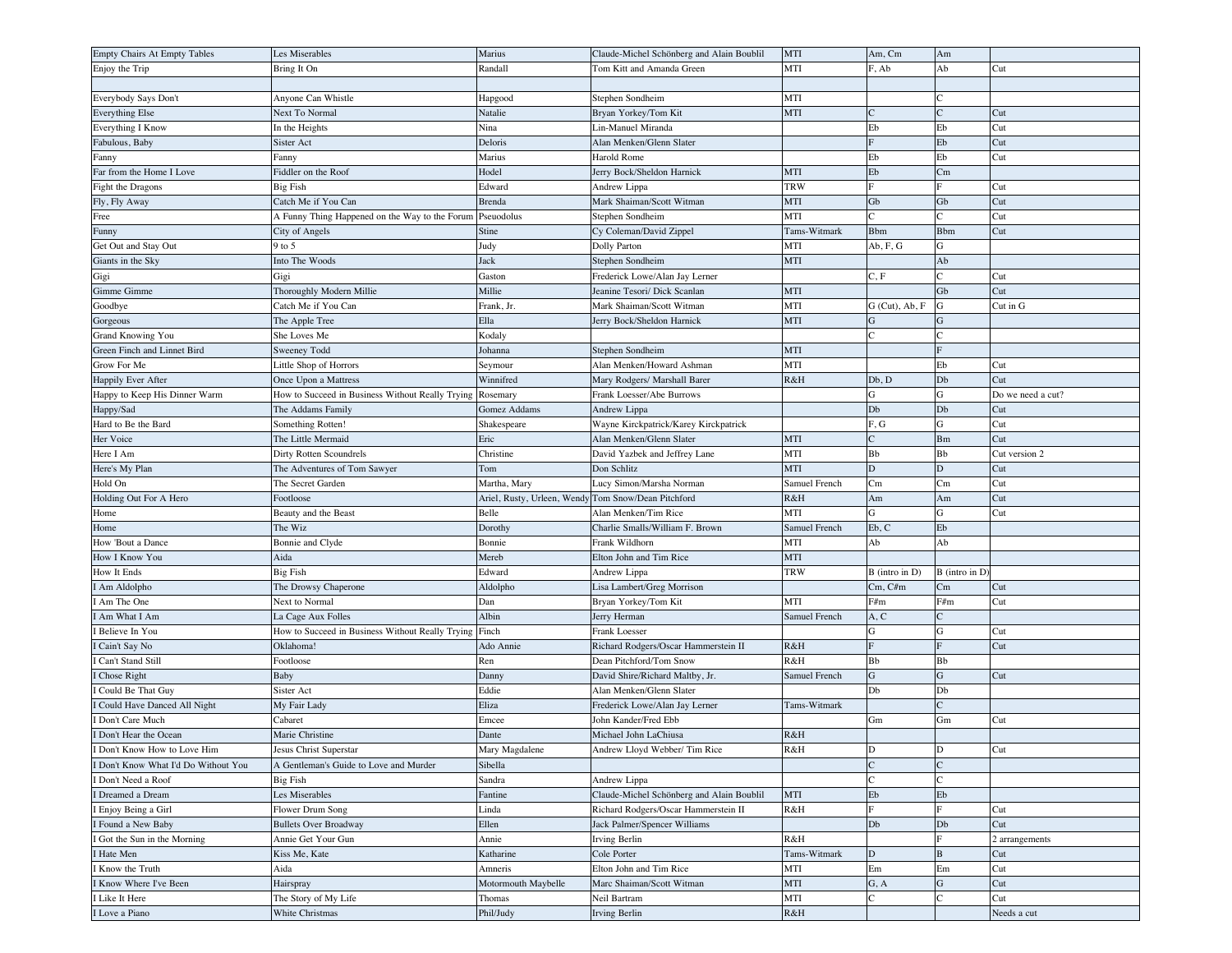| Empty Chairs At Empty Tables       | Les Miserables                                   | Marius                      | Claude-Michel Schönberg and Alain Boublil | MTI           | Am, Cm                | Am                          |                   |
|------------------------------------|--------------------------------------------------|-----------------------------|-------------------------------------------|---------------|-----------------------|-----------------------------|-------------------|
| Enjoy the Trip                     | Bring It On                                      | Randall                     | Tom Kitt and Amanda Green                 | MTI           | F, Ab                 | Ab                          | Cut               |
|                                    |                                                  |                             |                                           |               |                       |                             |                   |
| Everybody Says Don't               | Anvone Can Whistle                               | Hapgood                     | Stephen Sondheim                          | MTI           |                       |                             |                   |
| <b>Everything Else</b>             | Next To Normal                                   | Natalie                     | Bryan Yorkey/Tom Kit                      | <b>MTI</b>    | $\mathsf{C}$          | $\overline{C}$              | Cut               |
| Everything I Know                  | In the Heights                                   | Nina                        | Lin-Manuel Miranda                        |               | Eb                    | Eb                          | Cut               |
| Fabulous, Baby                     | Sister Act                                       | Deloris                     | Alan Menken/Glenn Slater                  |               | F                     | Eb                          | Cut               |
|                                    |                                                  | Marius                      | Harold Rome                               |               | Eb                    | Eb                          | Cut               |
| Fanny<br>Far from the Home I Love  | Fanny<br>Fiddler on the Roof                     | Hodel                       |                                           | MTI           | Eb                    | Cm                          |                   |
|                                    |                                                  |                             | Jerry Bock/Sheldon Harnick                |               | $\mathbf{F}$          | E                           |                   |
| Fight the Dragons                  | <b>Big Fish</b>                                  | Edward                      | Andrew Lippa                              | <b>TRW</b>    |                       |                             | Cut               |
| Fly, Fly Away                      | Catch Me if You Can                              | Brenda                      | Mark Shaiman/Scott Witman                 | <b>MTI</b>    | Gb                    | Gb                          | Cut               |
| Free                               | A Funny Thing Happened on the Way to the Forum   | Pseuodolus                  | Stephen Sondheim                          | MTI           | $\sqrt{ }$            |                             | Cut               |
| Funny                              | City of Angels                                   | Stine                       | Cy Coleman/David Zippel                   | Tams-Witmark  | <b>Bbm</b>            | <b>B</b> bm                 | Cut               |
| Get Out and Stay Out               | 9 to 5                                           | Judy                        | Dolly Parton                              | MTI           | Ab, F, G              | G                           |                   |
| Giants in the Sky                  | Into The Woods                                   | Jack                        | Stephen Sondheim                          | MTI           |                       | Ab                          |                   |
| Gigi                               | Gigi                                             | Gaston                      | Frederick Lowe/Alan Jay Lerner            |               | C, F                  | C                           | Cut               |
| Gimme Gimme                        | Thoroughly Modern Millie                         | Millie                      | Jeanine Tesori/ Dick Scanlan              | <b>MTI</b>    |                       | Gb                          | Cut               |
| Goodbye                            | Catch Me if You Can                              | Frank, Jr.                  | Mark Shaiman/Scott Witman                 | MTI           | $G$ (Cut), $Ab$ , $F$ | G                           | Cut in G          |
| Gorgeous                           | The Apple Tree                                   | Ella                        | Jerry Bock/Sheldon Harnick                | MTI           | ${\bf G}$             | G                           |                   |
| Grand Knowing You                  | She Loves Me                                     | Kodaly                      |                                           |               | $\mathcal{C}$         | $\mathsf{C}$                |                   |
| Green Finch and Linnet Bird        | Sweeney Todd                                     | Johanna                     | Stephen Sondheim                          | MTI           |                       |                             |                   |
| Grow For Me                        | Little Shop of Horrors                           | Seymour                     | Alan Menken/Howard Ashman                 | MTI           |                       | Eb                          | Cut               |
| Happily Ever After                 | Once Upon a Mattress                             | Winnifred                   | Mary Rodgers/ Marshall Barer              | R&H           | Db, D                 | Db                          | Cut               |
| Happy to Keep His Dinner Warm      | How to Succeed in Business Without Really Trying | Rosemary                    | Frank Loesser/Abe Burrows                 |               | G                     | G                           | Do we need a cut? |
| Happy/Sad                          | The Addams Family                                | Gomez Addams                | Andrew Lippa                              |               | Db                    | ${\rm Db}$                  | Cut               |
| Hard to Be the Bard                | Something Rotten!                                | Shakespeare                 | Wayne Kirckpatrick/Karey Kirckpatrick     |               | F, G                  | G                           | Cut               |
| Her Voice                          | The Little Mermaid                               | Eric                        | Alan Menken/Glenn Slater                  | <b>MTI</b>    | $\mathsf{C}$          | Bm                          | Cut               |
|                                    |                                                  |                             |                                           |               |                       |                             |                   |
| Here I Am                          | Dirty Rotten Scoundrels                          | Christine                   | David Yazbek and Jeffrey Lane             | MTI           | Bb                    | Bb                          | Cut version 2     |
| Here's My Plan                     | The Adventures of Tom Sawyer                     | Tom                         | Don Schlitz                               | MTI           | $\mathbf D$           | D                           | Cut               |
| Hold On                            | The Secret Garden                                | Martha, Mary                | Lucy Simon/Marsha Norman                  | Samuel French | Cm                    | Cm                          | Cut               |
| Holding Out For A Hero             | Footloose                                        | Ariel, Rusty, Urleen, Wendy | Tom Snow/Dean Pitchford                   | R&H           | Am                    | Am                          | Cut               |
| Home                               | Beauty and the Beast                             | Belle                       | Alan Menken/Tim Rice                      | MTI           | ${\bf G}$             | G                           | Cut               |
| Home                               | The Wiz                                          | Dorothy                     | Charlie Smalls/William F. Brown           | Samuel French | Eb, C                 | Eb                          |                   |
| How 'Bout a Dance                  | Bonnie and Clyde                                 | Bonnie                      | Frank Wildhorn                            | MTI           | Ab                    | Ab                          |                   |
| How I Know You                     | Aida                                             | Mereb                       | Elton John and Tim Rice                   | MTI           |                       |                             |                   |
| How It Ends                        | <b>Big Fish</b>                                  | Edward                      | Andrew Lippa                              | <b>TRW</b>    | B (intro in D)        | B (intro in D)              |                   |
| I Am Aldolpho                      | The Drowsy Chaperone                             | Aldolpho                    | Lisa Lambert/Greg Morrison                |               | Cm, C/m               | Cm                          | Cut               |
| Am The One                         | Next to Normal                                   | Dan                         | Bryan Yorkey/Tom Kit                      | MTI           | F#m                   | F#m                         | Cut               |
| I Am What I Am                     | La Cage Aux Folles                               | Albin                       | Jerry Herman                              | Samuel French | A, C                  | $\mathcal{C}$               |                   |
| Believe In You                     | How to Succeed in Business Without Really Trying | Finch                       | Frank Loesser                             |               | G                     | G                           | Cut               |
| Cain't Say No                      | Oklahoma!                                        | Ado Annie                   | Richard Rodgers/Oscar Hammerstein II      | R&H           | F                     | $\overline{F}$              | Cut               |
| Can't Stand Still                  | Footloose                                        | Ren                         | Dean Pitchford/Tom Snow                   | R&H           | $_{\rm Bb}$           | Bb                          |                   |
| I Chose Right                      | Baby                                             | Danny                       | David Shire/Richard Maltby, Jr.           | Samuel French | $\mathbf G$           | $\mathbf G$                 | Cut               |
| I Could Be That Guy                | Sister Act                                       | Eddie                       | Alan Menken/Glenn Slater                  |               | Db                    | Db                          |                   |
| I Could Have Danced All Night      | My Fair Lady                                     | Eliza                       | Frederick Lowe/Alan Jay Lerner            | Tams-Witmark  |                       |                             |                   |
| Don't Care Much                    | Cabaret                                          | Emcee                       | John Kander/Fred Ebb                      |               | Gm                    | Gm                          | Cut               |
| I Don't Hear the Ocean             | Marie Christine                                  | Dante                       | Michael John LaChiusa                     | R&H           |                       |                             |                   |
|                                    |                                                  |                             |                                           |               |                       |                             |                   |
| Don't Know How to Love Him         | Jesus Christ Superstar                           | Mary Magdalene              | Andrew Lloyd Webber/ Tim Rice             | R&H           | D<br>$\mathbf C$      | $\mathbf D$<br>$\mathbf C$  | Cut               |
| Don't Know What I'd Do Without You | A Gentleman's Guide to Love and Murder           | Sibella                     |                                           |               |                       |                             |                   |
| Don't Need a Roof                  | <b>Big Fish</b>                                  | Sandra                      | Andrew Lippa                              |               | $\mathsf{C}$          | $\mathcal{C}_{\mathcal{C}}$ |                   |
| I Dreamed a Dream                  | Les Miserables                                   | Fantine                     | Claude-Michel Schönberg and Alain Boublil | MTI           | ${\rm Eb}$            | ${\rm Eb}$                  |                   |
| Enjoy Being a Girl                 | Flower Drum Song                                 | Linda                       | Richard Rodgers/Oscar Hammerstein II      | R&H           | $\mathbf{F}$          | E                           | Cut               |
| I Found a New Baby                 | <b>Bullets Over Broadway</b>                     | Ellen                       | Jack Palmer/Spencer Williams              |               | ${\rm Db}$            | Db                          | Cut               |
| Got the Sun in the Morning         | Annie Get Your Gun                               | Annie                       | Irving Berlin                             | R&H           |                       | E                           | 2 arrangements    |
| Hate Men                           | Kiss Me, Kate                                    | Katharine                   | Cole Porter                               | Tams-Witmark  | $\mathbf D$           | $\mathbf{B}$                | Cut               |
| Know the Truth                     | Aida                                             | Amneris                     | Elton John and Tim Rice                   | MTI           | ${\rm Em}$            | Em                          | Cut               |
| Know Where I've Been               | Hairspray                                        | Motormouth Maybelle         | Marc Shaiman/Scott Witman                 | MTI           | G, A                  | G                           | Cut               |
| I Like It Here                     | The Story of My Life                             | Thomas                      | Neil Bartram                              | MTI           | $\mathsf{C}$          | $\mathcal{C}_{\mathcal{C}}$ | Cut               |
| I Love a Piano                     | White Christmas                                  | Phil/Judy                   | Irving Berlin                             | R&H           |                       |                             | Needs a cut       |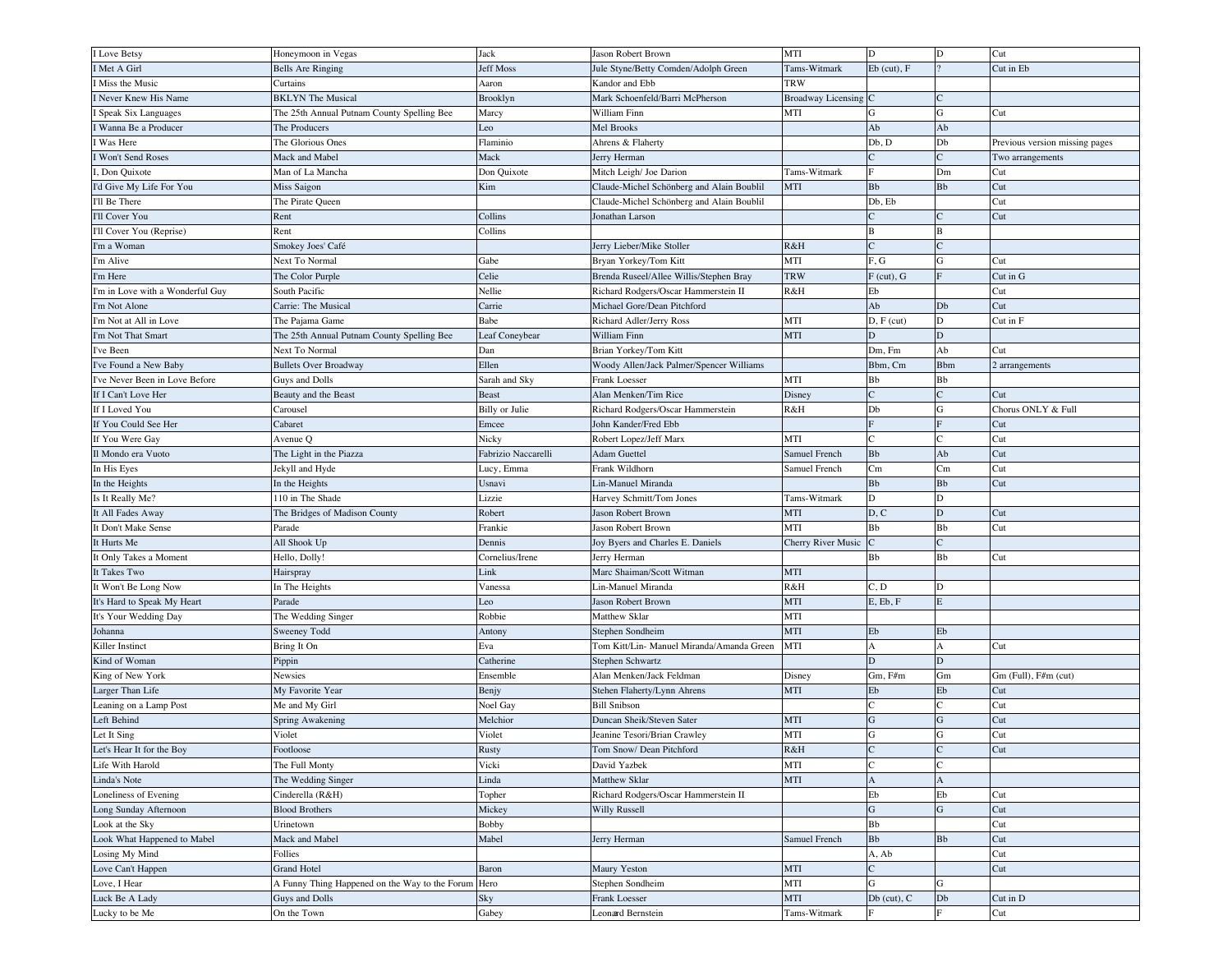| I Love Betsy                     | Honeymoon in Vegas                                  | Jack                  | Jason Robert Brown                                 | MTI                       | D                 | D              | Cut                            |
|----------------------------------|-----------------------------------------------------|-----------------------|----------------------------------------------------|---------------------------|-------------------|----------------|--------------------------------|
| I Met A Girl                     | <b>Bells Are Ringing</b>                            | Jeff Moss             | Jule Styne/Betty Comden/Adolph Green               | Tams-Witmark              | $Eb$ (cut), $F$   |                | Cut in Eb                      |
| Miss the Music                   | Curtains                                            | Aaron                 | Kandor and Ebb                                     | <b>TRW</b>                |                   |                |                                |
| Never Knew His Name              | <b>BKLYN</b> The Musical                            | Brooklyn              | Mark Schoenfeld/Barri McPherson                    | <b>Broadway Licensing</b> | IC                |                |                                |
| Speak Six Languages              | The 25th Annual Putnam County Spelling Bee          | Marcy                 | William Finn                                       | MTI                       | G                 | G              | Cut                            |
| Wanna Be a Producer              | The Producers                                       | Leo                   | Mel Brooks                                         |                           | Ab                | Ab             |                                |
| Was Here                         | The Glorious Ones                                   | Flaminio              | Ahrens & Flaherty                                  |                           | Db, D             | Db             | Previous version missing pages |
| Won't Send Roses                 | Mack and Mabel                                      | Mack                  | Jerry Herman                                       |                           | $\mathcal{C}$     | $\overline{C}$ | Two arrangements               |
| , Don Quixote                    | Man of La Mancha                                    | Don Quixote           | Mitch Leigh/ Joe Darion                            | Tams-Witmark              |                   | Dm             | Cut                            |
| I'd Give My Life For You         | Miss Saigon                                         | Kim                   | Claude-Michel Schönberg and Alain Boublil          | <b>MTI</b>                | <b>Bb</b>         | Bb             | Cut                            |
| I'll Be There                    | The Pirate Queen                                    |                       | Claude-Michel Schönberg and Alain Boublil          |                           | Db, Eb            |                | Cut                            |
| I'll Cover You                   | Rent                                                | Collins               | Jonathan Larson                                    |                           |                   |                | Cut                            |
| I'll Cover You (Reprise)         | Rent                                                | Collins               |                                                    |                           | B                 | В              |                                |
| I'm a Woman                      | Smokey Joes' Café                                   |                       | Jerry Lieber/Mike Stoller                          | R&H                       | $\mathcal{C}$     | $\overline{C}$ |                                |
| I'm Alive                        | Next To Normal                                      | Gabe                  | Bryan Yorkey/Tom Kitt                              | MTI                       | F, G              | $\mathbf G$    | Cut                            |
| I'm Here                         | The Color Purple                                    | Celie                 | Brenda Ruseel/Allee Willis/Stephen Bray            | <b>TRW</b>                | $F$ (cut), $G$    | Ē              | Cut in G                       |
| I'm in Love with a Wonderful Guy | South Pacific                                       | Nellie                | Richard Rodgers/Oscar Hammerstein II               | R&H                       | Eb                |                | Cut                            |
| I'm Not Alone                    | Carrie: The Musical                                 | Carrie                | Michael Gore/Dean Pitchford                        |                           | Ab                | Db             | Cut                            |
|                                  |                                                     |                       |                                                    |                           |                   |                |                                |
| I'm Not at All in Love           | The Pajama Game                                     | Babe                  | Richard Adler/Jerry Ross                           | MTI                       | $D, F$ (cut)      | D              | Cut in F                       |
| I'm Not That Smart               | The 25th Annual Putnam County Spelling Bee          | Leaf Coneybear        | William Finn                                       | MTI                       | D                 | D              |                                |
| I've Been                        | Next To Normal                                      | Dan                   | Brian Yorkey/Tom Kitt                              |                           | Dm, Fm            | Ab             | Cut                            |
| I've Found a New Baby            | <b>Bullets Over Broadway</b>                        | Ellen                 | Woody Allen/Jack Palmer/Spencer Williams           |                           | Bbm, Cm           | <b>B</b> bm    | 2 arrangements                 |
| I've Never Been in Love Before   | Guys and Dolls                                      | Sarah and Sky         | Frank Loesser                                      | MTI                       | Bb                | Bb             |                                |
| If I Can't Love Her              | Beauty and the Beast                                | <b>Beast</b>          | Alan Menken/Tim Rice                               | Disney                    |                   | Ċ              | Cut                            |
| If I Loved You                   | Carousel                                            | <b>Billy</b> or Julie | Richard Rodgers/Oscar Hammerstein                  | R&H                       | Db                | G              | Chorus ONLY & Full             |
| If You Could See Her             | Cabaret                                             | Emcee                 | John Kander/Fred Ebb                               |                           | $\mathbf{F}$      | $\overline{F}$ | Cut                            |
| If You Were Gay                  | Avenue Q                                            | Nicky                 | Robert Lopez/Jeff Marx                             | MTI                       | $\mathcal{C}$     | $\mathcal{C}$  | Cut                            |
| Il Mondo era Vuoto               | The Light in the Piazza                             | Fabrizio Naccarelli   | Adam Guettel                                       | Samuel French             | <b>Bb</b>         | Ab             | Cut                            |
| In His Eyes                      | Jekyll and Hyde                                     | Lucy, Emma            | Frank Wildhorn                                     | Samuel French             | Cm                | Cm             | Cut                            |
| In the Heights                   | In the Heights                                      | Usnavi                | Lin-Manuel Miranda                                 |                           | <b>Bb</b>         | Bb             | Cut                            |
| Is It Really Me?                 | 110 in The Shade                                    | Lizzie                | Harvey Schmitt/Tom Jones                           | Tams-Witmark              | D                 | D              |                                |
|                                  |                                                     |                       |                                                    |                           |                   | $\mathbf D$    | Cut                            |
| It All Fades Away                | The Bridges of Madison County                       | Robert                | Jason Robert Brown                                 | <b>MTI</b>                | D, C              |                |                                |
| It Don't Make Sense              | Parade                                              | Frankie               | Jason Robert Brown                                 | MTI                       | Bb                | Bb             | Cut                            |
| It Hurts Me                      | All Shook Up                                        | Dennis                | Joy Byers and Charles E. Daniels                   | Cherry River Music        |                   | $\overline{C}$ |                                |
| It Only Takes a Moment           | Hello, Dolly!                                       | Cornelius/Irene       | Jerry Herman                                       |                           | Bb                | Bb             | Cut                            |
| It Takes Two                     | Hairspray                                           | Link                  | Marc Shaiman/Scott Witman                          | <b>MTI</b>                |                   |                |                                |
| It Won't Be Long Now             | In The Heights                                      | Vanessa               | Lin-Manuel Miranda                                 | R&H                       | C, D              | D              |                                |
| It's Hard to Speak My Heart      | Parade                                              | Leo                   | Jason Robert Brown                                 | MTI                       | E, Eb, F          | E              |                                |
| It's Your Wedding Day            | The Wedding Singer                                  | Robbie                | Matthew Sklar                                      | MTI                       |                   |                |                                |
| Johanna                          | Sweeney Todd                                        | Antony                | Stephen Sondheim                                   | <b>MTI</b>                | Eb                | Eb             |                                |
| Killer Instinct                  | Bring It On                                         | Eva                   | Tom Kitt/Lin- Manuel Miranda/Amanda Green          | MTI                       | $\mathbf{A}$      | A              | Cut                            |
| Kind of Woman                    |                                                     | Catherine             | Stephen Schwartz                                   |                           | D                 | D              |                                |
|                                  | Pippin<br>Newsies                                   | Ensemble              | Alan Menken/Jack Feldman                           | Disney                    | $Gm, F\#m$        | Gm             |                                |
| King of New York                 |                                                     |                       |                                                    | <b>MTI</b>                | Eb                | Eb             | Gm (Full), F#m (cut)<br>Cut    |
| Larger Than Life                 | My Favorite Year                                    | Benjy                 | Stehen Flaherty/Lynn Ahrens<br><b>Bill Snibson</b> |                           |                   |                | Cut                            |
| Leaning on a Lamp Post           | Me and My Girl                                      | Noel Gay              | Duncan Sheik/Steven Sater                          | <b>MTI</b>                | G                 | G              | Cut                            |
| Left Behind                      | Spring Awakening                                    | Melchior              |                                                    |                           |                   | G              |                                |
| Let It Sing                      | Violet                                              | Violet                | Jeanine Tesori/Brian Crawley                       | MTI                       | $\mathbf G$       |                | Cut                            |
| Let's Hear It for the Boy        | Footloose                                           | Rusty                 | Tom Snow/ Dean Pitchford                           | R&H                       | ${\bf C}$         | $\mathbf C$    | Cut                            |
| Life With Harold                 | The Full Monty                                      | Vicki                 | David Yazbek                                       | MTI                       | $\mathbf C$       | $\mathbf C$    |                                |
| Linda's Note                     | The Wedding Singer                                  | Linda                 | Matthew Sklar                                      | MTI                       | $\mathbf{A}$      | A              |                                |
| Loneliness of Evening            | Cinderella (R&H)                                    | Topher                | Richard Rodgers/Oscar Hammerstein II               |                           | Eb                | Eb             | Cut                            |
| Long Sunday Afternoon            | <b>Blood Brothers</b>                               | Mickey                | Willy Russell                                      |                           | $\overline{G}$    | $\mathbf G$    | Cut                            |
| Look at the Sky                  | Urinetown                                           | <b>Bobby</b>          |                                                    |                           | Bb                |                | Cut                            |
| Look What Happened to Mabel      | Mack and Mabel                                      | Mabel                 | Jerry Herman                                       | Samuel French             | ${\bf B}{\bf b}$  | Bb             | Cut                            |
| Losing My Mind                   | Follies                                             |                       |                                                    |                           | A, Ab<br>$\Gamma$ |                | Cut                            |
| Love Can't Happen                | <b>Grand Hotel</b>                                  | Baron                 | Maury Yeston                                       | MTI                       |                   |                | Cut                            |
| Love, I Hear                     | A Funny Thing Happened on the Way to the Forum Hero |                       | Stephen Sondheim                                   | MTI                       | G                 | G              |                                |
| Luck Be A Lady<br>Lucky to be Me | Guys and Dolls<br>On the Town                       | Sky<br>Gabey          | Frank Loesser<br>Leonard Bernstein                 | MTI<br>Tams-Witmark       | $Db$ (cut), $C$   | ${\rm Db}$     | Cut in D<br>Cut                |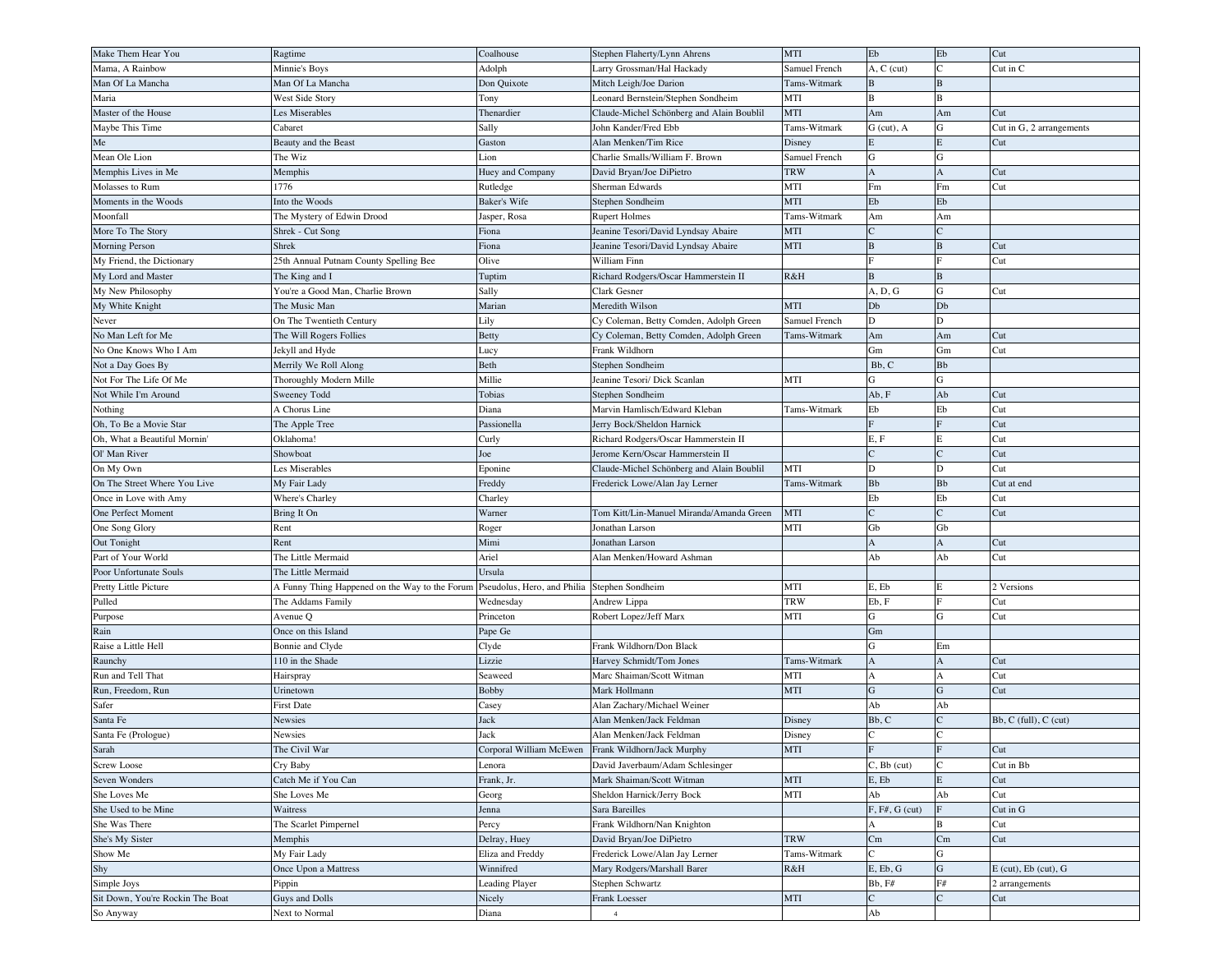| Make Them Hear You               | Ragtime                                        | Coalhouse                   | Stephen Flaherty/Lynn Ahrens              | MTI           | ${\rm Eb}$       | ${\rm Eb}$       | Cut                        |
|----------------------------------|------------------------------------------------|-----------------------------|-------------------------------------------|---------------|------------------|------------------|----------------------------|
| Mama, A Rainbow                  | Minnie's Boys                                  | Adolph                      | Larry Grossman/Hal Hackady                | Samuel French | $A, C$ (cut)     | $\overline{C}$   | Cut in C                   |
| Man Of La Mancha                 | Man Of La Mancha                               | Don Quixote                 | Mitch Leigh/Joe Darion                    | Tams-Witmark  | $\, {\bf B}$     | $\bf{B}$         |                            |
| Maria                            | West Side Story                                | Tony                        | Leonard Bernstein/Stephen Sondheim        | MTI           | $\bf{B}$         | B                |                            |
| Master of the House              | Les Miserables                                 | Thenardier                  | Claude-Michel Schönberg and Alain Boublil | MTI           | Am               | Am               | Cut                        |
| Maybe This Time                  | Cabaret                                        | Sally                       | John Kander/Fred Ebb                      | Tams-Witmark  | $G$ (cut), $A$   | G                | Cut in G, 2 arrangements   |
| ${\rm Me}$                       | Beauty and the Beast                           | Gaston                      | Alan Menken/Tim Rice                      | Disney        | $\mathbf E$      | E                | Cut                        |
| Mean Ole Lion                    | The Wiz                                        | Lion                        | Charlie Smalls/William F. Brown           | Samuel French | ${\bf G}$        | G                |                            |
| Memphis Lives in Me              | Memphis                                        | Huey and Company            | David Bryan/Joe DiPietro                  | <b>TRW</b>    | $\overline{A}$   | $\mathbf{A}$     | Cut                        |
| Molasses to Rum                  | 1776                                           |                             | Sherman Edwards                           | MTI           | Fm               | Fm               | Cut                        |
|                                  |                                                | Rutledge                    |                                           |               |                  |                  |                            |
| Moments in the Woods             | Into the Woods                                 | Baker's Wife                | Stephen Sondheim                          | MTI           | Eb               | Eb               |                            |
| Moonfall                         | The Mystery of Edwin Drood                     | Jasper, Rosa                | <b>Rupert Holmes</b>                      | Tams-Witmark  | Am               | Am               |                            |
| More To The Story                | Shrek - Cut Song                               | Fiona                       | Jeanine Tesori/David Lyndsay Abaire       | MTI           |                  | $\overline{C}$   |                            |
| Morning Person                   | Shrek                                          | Fiona                       | Jeanine Tesori/David Lyndsay Abaire       | MTI           | $\, {\bf B}$     | $\, {\bf B}$     | Cut                        |
| My Friend, the Dictionary        | 25th Annual Putnam County Spelling Bee         | Olive                       | William Finn                              |               | F                | F                | Cut                        |
| My Lord and Master               | The King and I                                 | Tuptim                      | Richard Rodgers/Oscar Hammerstein II      | R&H           | B                | $\bf{B}$         |                            |
| My New Philosophy                | You're a Good Man, Charlie Brown               | Sally                       | Clark Gesner                              |               | A, D, G          | ${\bf G}$        | Cut                        |
| My White Knight                  | The Music Man                                  | Marian                      | Meredith Wilson                           | MTI           | Db               | Db               |                            |
| Never                            | On The Twentieth Century                       | Lily                        | Cy Coleman, Betty Comden, Adolph Green    | Samuel French | D                | D                |                            |
| No Man Left for Me               | The Will Rogers Follies                        | Betty                       | Cy Coleman, Betty Comden, Adolph Green    | Tams-Witmark  | Am               | Am               | Cut                        |
| No One Knows Who I Am            | Jekyll and Hyde                                | Lucy                        | Frank Wildhorn                            |               | Gm               | Gm               | Cut                        |
| Not a Day Goes By                | Merrily We Roll Along                          | Beth                        | Stephen Sondheim                          |               | Bb, C            | <b>B</b> b       |                            |
| Not For The Life Of Me           | Thoroughly Modern Mille                        | Millie                      | Jeanine Tesori/ Dick Scanlan              | MTI           | G                | G                |                            |
| Not While I'm Around             | Sweeney Todd                                   | Tobias                      | Stephen Sondheim                          |               | Ab, F            | Ab               | Cut                        |
| Nothing                          | A Chorus Line                                  | Diana                       | Marvin Hamlisch/Edward Kleban             | Tams-Witmark  | Eb               | Eb               | Cut                        |
| Oh, To Be a Movie Star           | The Apple Tree                                 | Passionella                 | Jerry Bock/Sheldon Harnick                |               |                  | F                | Cut                        |
| Oh, What a Beautiful Mornin'     | Oklahoma!                                      | Curly                       | Richard Rodgers/Oscar Hammerstein II      |               | E, F             | E                | Cut                        |
| Ol' Man River                    | Showboat                                       | Joe                         | Jerome Kern/Oscar Hammerstein II          |               |                  | $\overline{C}$   | Cut                        |
| On My Own                        | Les Miserables                                 | Eponine                     | Claude-Michel Schönberg and Alain Boublil | MTI           | D                | D                | Cut                        |
| On The Street Where You Live     | My Fair Lady                                   | Freddy                      | Frederick Lowe/Alan Jay Lerner            | Tams-Witmark  | ${\bf B}{\bf b}$ | ${\bf B}{\bf b}$ | Cut at end                 |
|                                  |                                                |                             |                                           |               | Eb               | Eb               | Cut                        |
| Once in Love with Amy            | Where's Charley                                | Charley                     |                                           |               | $\epsilon$       | $\overline{C}$   | Cut                        |
| One Perfect Moment               | Bring It On                                    | Warner                      | Tom Kitt/Lin-Manuel Miranda/Amanda Green  | MTI           |                  |                  |                            |
| One Song Glory                   | Rent                                           | Roger                       | Jonathan Larson                           | MTI           | Gb               | Gb               |                            |
| Out Tonight                      | Rent                                           | Mimi                        | Jonathan Larson                           |               | A                | $\mathbf A$      | Cut                        |
| Part of Your World               | The Little Mermaid                             | Ariel                       | Alan Menken/Howard Ashman                 |               | Ab               | Ab               | Cut                        |
| Poor Unfortunate Souls           | The Little Mermaid                             | Ursula                      |                                           |               |                  |                  |                            |
| Pretty Little Picture            | A Funny Thing Happened on the Way to the Forum | Pseudolus, Hero, and Philia | Stephen Sondheim                          | MTI           | E, Eb            | E                | 2 Versions                 |
| Pulled                           | The Addams Family                              | Wednesday                   | Andrew Lippa                              | <b>TRW</b>    | Eb, F            | F                | Cut                        |
| Purpose                          | Avenue Q                                       | Princeton                   | Robert Lopez/Jeff Marx                    | MTI           | G                | ${\bf G}$        | Cut                        |
| Rain                             | Once on this Island                            | Pape Ge                     |                                           |               | Gm               |                  |                            |
| Raise a Little Hell              | Bonnie and Clyde                               | Clyde                       | Frank Wildhorn/Don Black                  |               | $\mathbf G$      | Em               |                            |
| Raunchy                          | 110 in the Shade                               | Lizzie                      | Harvey Schmidt/Tom Jones                  | Tams-Witmark  | $\mathbf{A}$     | $\mathbf{A}$     | Cut                        |
| Run and Tell That                | Hairspray                                      | Seaweed                     | Marc Shaiman/Scott Witman                 | MTI           | $\overline{A}$   | A                | Cut                        |
| Run, Freedom, Run                | Urinetown                                      | Bobby                       | Mark Hollmann                             | MTI           | ${\bf G}$        | $\mathbf G$      | Cut                        |
| Safer                            | <b>First Date</b>                              | Casey                       | Alan Zachary/Michael Weiner               |               | Ab               | Ab               |                            |
| Santa Fe                         | Newsies                                        | Jack                        | Alan Menken/Jack Feldman                  | Disney        | Bb, C            | $\mathsf{C}$     | Bb, C (full), C (cut)      |
| Santa Fe (Prologue)              | Newsies                                        | Jack                        | Alan Menken/Jack Feldman                  | Disney        |                  |                  |                            |
| Sarah                            | The Civil War                                  | Corporal William McEwen     | Frank Wildhorn/Jack Murphy                | MTI           | $\rm F$          | F                | Cut                        |
| Screw Loose                      | Cry Baby                                       | Lenora                      | David Javerbaum/Adam Schlesinger          |               | $C$ , $Bb$ (cut) | $\mathbf C$      | Cut in Bb                  |
| Seven Wonders                    | Catch Me if You Can                            | Frank, Jr.                  | Mark Shaiman/Scott Witman                 | MTI           | E, Eb            | E                | Cut                        |
| She Loves Me                     | She Loves Me                                   | Georg                       | Sheldon Harnick/Jerry Bock                | MTI           | Ab               | Ab               | Cut                        |
| She Used to be Mine              | Waitress                                       | Jenna                       | Sara Bareilles                            |               | $F, F#, G$ (cut) | $\overline{F}$   | Cut in G                   |
| She Was There                    | The Scarlet Pimpernel                          | Percy                       | Frank Wildhorn/Nan Knighton               |               | A                | B                | Cut                        |
| She's My Sister                  | Memphis                                        | Delray, Huey                | David Bryan/Joe DiPietro                  | <b>TRW</b>    | Cm               | Cm               | Cut                        |
| Show Me                          |                                                | Eliza and Freddy            | Frederick Lowe/Alan Jay Lerner            | Tams-Witmark  |                  | G                |                            |
|                                  | My Fair Lady                                   |                             |                                           |               |                  | ${\bf G}$        |                            |
| Shy                              | Once Upon a Mattress                           | Winnifred                   | Mary Rodgers/Marshall Barer               | R&H           | E, Eb, G         |                  | $E$ (cut), $Eb$ (cut), $G$ |
| Simple Joys                      | Pippin                                         | <b>Leading Player</b>       | Stephen Schwartz                          |               | Bb, F#           | F#               | 2 arrangements             |
| Sit Down, You're Rockin The Boat | Guys and Dolls                                 | Nicely                      | Frank Loesser                             | MTI           | $\mathbf C$      | $\mathsf{C}$     | Cut                        |
| So Anyway                        | Next to Normal                                 | Diana                       | $\overline{4}$                            |               | $_{\rm Ab}$      |                  |                            |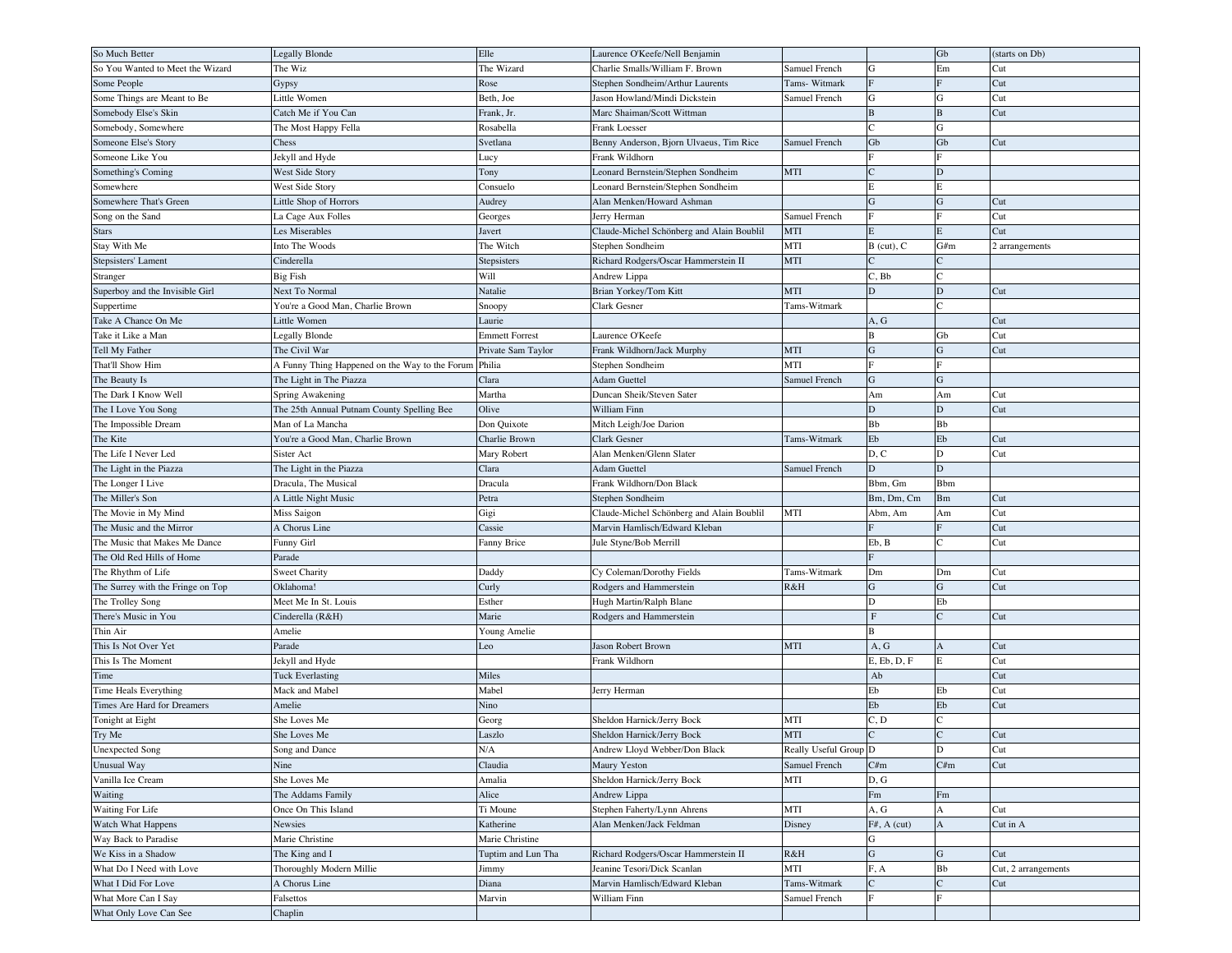| So Much Better                    | <b>Legally Blonde</b>                          | Elle                  | Laurence O'Keefe/Nell Benjamin            |                       |                        | Gb             | (starts on Db)      |
|-----------------------------------|------------------------------------------------|-----------------------|-------------------------------------------|-----------------------|------------------------|----------------|---------------------|
| So You Wanted to Meet the Wizard  | The Wiz                                        | The Wizard            | Charlie Smalls/William F. Brown           | Samuel French         | G                      | Em             | Cut                 |
| Some People                       | Gypsy                                          | Rose                  | Stephen Sondheim/Arthur Laurents          | Tams- Witmark         |                        | F              | Cut                 |
| Some Things are Meant to Be       | Little Women                                   | Beth, Joe             | Jason Howland/Mindi Dickstein             | Samuel French         | G                      | ${\bf G}$      | Cut                 |
| Somebody Else's Skin              | Catch Me if You Can                            | Frank, Jr.            | Marc Shaiman/Scott Wittman                |                       | B                      | $\, {\bf B}$   | Cut                 |
| Somebody, Somewhere               | The Most Happy Fella                           | Rosabella             | Frank Loesser                             |                       |                        | G              |                     |
| Someone Else's Story              | Chess                                          | Svetlana              | Benny Anderson, Bjorn Ulvaeus, Tim Rice   | Samuel French         | Gb                     | Gb             | Cut                 |
| Someone Like You                  | Jekyll and Hyde                                | Lucy                  | Frank Wildhorn                            |                       | E                      | F              |                     |
| Something's Coming                | West Side Story                                | Tony                  | Leonard Bernstein/Stephen Sondheim        | MTI                   |                        | D              |                     |
| Somewhere                         | West Side Story                                | Consuelo              | Leonard Bernstein/Stephen Sondheim        |                       | E                      | Е              |                     |
| Somewhere That's Green            | Little Shop of Horrors                         | Audrey                | Alan Menken/Howard Ashman                 |                       | G                      | ${\bf G}$      | Cut                 |
| Song on the Sand                  | La Cage Aux Folles                             | Georges               | Jerry Herman                              | Samuel French         |                        | F              | Cut                 |
| <b>Stars</b>                      | Les Miserables                                 | Javert                | Claude-Michel Schönberg and Alain Boublil | MTI                   | E                      | E              | Cut                 |
| Stay With Me                      | Into The Woods                                 | The Witch             | Stephen Sondheim                          | MTI                   | $B$ (cut), $C$         | G/m            | 2 arrangements      |
| Stepsisters' Lament               | Cinderella                                     | Stepsisters           | Richard Rodgers/Oscar Hammerstein II      | <b>MTI</b>            |                        | C              |                     |
| Stranger                          | <b>Big Fish</b>                                | Will                  | Andrew Lippa                              |                       | $C$ , $Bb$             | Ċ              |                     |
| Superboy and the Invisible Girl   | Next To Normal                                 | Natalie               | Brian Yorkey/Tom Kitt                     | MTI                   | D                      | $\mathbf D$    | Cut                 |
| Suppertime                        | You're a Good Man, Charlie Brown               | Snoopy                | Clark Gesner                              | Tams-Witmark          |                        | $\epsilon$     |                     |
| Take A Chance On Me               | Little Women                                   | Laurie                |                                           |                       | A, G                   |                | Cut                 |
| Take it Like a Man                | Legally Blonde                                 | <b>Emmett Forrest</b> | Laurence O'Keefe                          |                       | B                      | Gb             | Cut                 |
| Tell My Father                    | The Civil War                                  | Private Sam Taylor    | Frank Wildhorn/Jack Murphy                | MTI                   | G                      | ${\bf G}$      | Cut                 |
| That'll Show Him                  | A Funny Thing Happened on the Way to the Forum | Philia                | Stephen Sondheim                          | MTI                   | F                      | F              |                     |
| The Beauty Is                     | The Light in The Piazza                        | Clara                 | Adam Guettel                              | Samuel French         | G                      | ${\bf G}$      |                     |
| The Dark I Know Well              | Spring Awakening                               | Martha                | Duncan Sheik/Steven Sater                 |                       | Am                     | Am             | Cut                 |
| The I Love You Song               | The 25th Annual Putnam County Spelling Bee     | Olive                 | William Finn                              |                       | D                      | D              | Cut                 |
| The Impossible Dream              | Man of La Mancha                               | Don Quixote           | Mitch Leigh/Joe Darion                    |                       | Bb                     | Bb             |                     |
| The Kite                          | You're a Good Man, Charlie Brown               | Charlie Brown         | Clark Gesner                              | Tams-Witmark          | Eb                     | Eb             | Cut                 |
| The Life I Never Led              | Sister Act                                     | Mary Robert           | Alan Menken/Glenn Slater                  |                       | D, C                   | D              | Cut                 |
| The Light in the Piazza           | The Light in the Piazza                        | Clara                 | Adam Guettel                              | Samuel French         | D                      | D              |                     |
| The Longer I Live                 | Dracula, The Musical                           | Dracula               | Frank Wildhorn/Don Black                  |                       | Bbm, Gm                | Bbm            |                     |
| The Miller's Son                  | A Little Night Music                           | Petra                 | Stephen Sondheim                          |                       | Bm, Dm, Cm             | Bm             | Cut                 |
| The Movie in My Mind              | Miss Saigon                                    | Gigi                  | Claude-Michel Schönberg and Alain Boublil | MTI                   | Abm, Am                | Am             | Cut                 |
| The Music and the Mirror          | A Chorus Line                                  | Cassie                | Marvin Hamlisch/Edward Kleban             |                       |                        |                | Cut                 |
| The Music that Makes Me Dance     | Funny Girl                                     | Fanny Brice           | Jule Styne/Bob Merrill                    |                       | Eb, B                  | C              | Cut                 |
| The Old Red Hills of Home         | Parade                                         |                       |                                           |                       |                        |                |                     |
| The Rhythm of Life                | Sweet Charity                                  | Daddy                 | Cy Coleman/Dorothy Fields                 | Tams-Witmark          | Dm                     | Dm             | Cut                 |
| The Surrey with the Fringe on Top | Oklahoma!                                      | Curly                 | Rodgers and Hammerstein                   | R&H                   | $\mathbf G$            | ${\bf G}$      | Cut                 |
| The Trolley Song                  | Meet Me In St. Louis                           | Esther                | Hugh Martin/Ralph Blane                   |                       | D                      | Eb             |                     |
| There's Music in You              | Cinderella (R&H)                               | Marie                 | Rodgers and Hammerstein                   |                       | $\mathbf{F}$           | $\overline{C}$ | Cut                 |
| Thin Air                          | Amelie                                         | Young Amelie          |                                           |                       | B                      |                |                     |
| This Is Not Over Yet              | Parade                                         | Leo                   | Jason Robert Brown                        | MTI                   | A, G                   | A              | Cut                 |
| This Is The Moment                | Jekyll and Hyde                                |                       | Frank Wildhorn                            |                       | $E$ , $Eb$ , $D$ , $F$ | E              | Cut                 |
| Time                              | <b>Tuck Everlasting</b>                        | Miles                 |                                           |                       | Ab                     |                | Cut                 |
| Time Heals Everything             | Mack and Mabel                                 | Mabel                 | Jerry Herman                              |                       | Eb                     | Eb             | Cut                 |
| Times Are Hard for Dreamers       | Amelie                                         | Nino                  |                                           |                       | Eb                     | ${\rm Eb}$     | Cut                 |
| Tonight at Eight                  | She Loves Me                                   | Georg                 | Sheldon Harnick/Jerry Bock                | MTI                   | C, D                   | Ċ              |                     |
| Try Me                            | She Loves Me                                   | Laszlo                | Sheldon Harnick/Jerry Bock                | MTI                   | $\mathsf{C}$           | $\mathbf C$    | Cut                 |
| <b>Unexpected Song</b>            | Song and Dance                                 | N/A                   | Andrew Lloyd Webber/Don Black             | Really Useful Group D |                        | D              | Cut                 |
| Unusual Way                       | Nine                                           | Claudia               | Maury Yeston                              | Samuel French         | C/m                    | C/m            | Cut                 |
| Vanilla Ice Cream                 | She Loves Me                                   | Amalia                | Sheldon Harnick/Jerry Bock                | MTI                   | D, G                   |                |                     |
| Waiting                           | The Addams Family                              | Alice                 | Andrew Lippa                              |                       | Fm                     | Fm             |                     |
| Waiting For Life                  | Once On This Island                            | Ti Moune              | Stephen Faherty/Lynn Ahrens               | MTI                   | A, G                   | А              | Cut                 |
| Watch What Happens                | Newsies                                        | Katherine             | Alan Menken/Jack Feldman                  | Disney                | $F#$ , A (cut)         | $\mathbf{A}$   | Cut in A            |
| Way Back to Paradise              | Marie Christine                                | Marie Christine       |                                           |                       | G                      |                |                     |
| We Kiss in a Shadow               | The King and I                                 | Tuptim and Lun Tha    | Richard Rodgers/Oscar Hammerstein II      | R&H                   | G                      | ${\bf G}$      | Cut                 |
| What Do I Need with Love          | Thoroughly Modern Millie                       | Jimmy                 | Jeanine Tesori/Dick Scanlan               | MTI                   | F, A                   | Bb             | Cut, 2 arrangements |
| What I Did For Love               | A Chorus Line                                  | Diana                 | Marvin Hamlisch/Edward Kleban             | Tams-Witmark          |                        | $\mathsf C$    | Cut                 |
| What More Can I Say               | Falsettos                                      | Marvin                | William Finn                              | Samuel French         | F                      | F              |                     |
| What Only Love Can See            | Chaplin                                        |                       |                                           |                       |                        |                |                     |